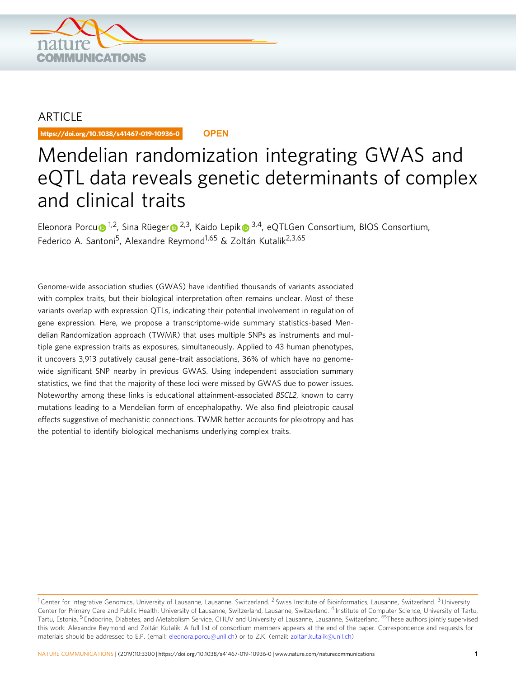

# ARTICLE

https://doi.org/10.1038/s41467-019-10936-0 **OPEN**

# Mendelian randomization integrating GWAS and eQTL data reveals genetic determinants of complex and clinical traits

Eleonora Porc[u](http://orcid.org/0000-0003-2878-7485) $\bullet$ <sup>1,2</sup>, Sina Rüege[r](http://orcid.org/0000-0003-2848-9242) $\bullet$ <sup>[2](http://orcid.org/0000-0003-2848-9242),3</sup>, Kaido Lepi[k](http://orcid.org/0000-0001-9884-3265) $\bullet$ <sup>3,4</sup>, eQTLGen Consortium, BIOS Consortium, Federico A. Santoni<sup>5</sup>, Alexandre Reymond<sup>1,65</sup> & Zoltán Kutalik<sup>2,3,65</sup>

Genome-wide association studies (GWAS) have identified thousands of variants associated with complex traits, but their biological interpretation often remains unclear. Most of these variants overlap with expression QTLs, indicating their potential involvement in regulation of gene expression. Here, we propose a transcriptome-wide summary statistics-based Mendelian Randomization approach (TWMR) that uses multiple SNPs as instruments and multiple gene expression traits as exposures, simultaneously. Applied to 43 human phenotypes, it uncovers 3,913 putatively causal gene–trait associations, 36% of which have no genomewide significant SNP nearby in previous GWAS. Using independent association summary statistics, we find that the majority of these loci were missed by GWAS due to power issues. Noteworthy among these links is educational attainment-associated BSCL2, known to carry mutations leading to a Mendelian form of encephalopathy. We also find pleiotropic causal effects suggestive of mechanistic connections. TWMR better accounts for pleiotropy and has the potential to identify biological mechanisms underlying complex traits.

 $1$  Center for Integrative Genomics, University of Lausanne, Lausanne, Switzerland.  $2$  Swiss Institute of Bioinformatics, Lausanne, Switzerland.  $3$  University Center for Primary Care and Public Health, University of Lausanne, Switzerland, Lausanne, Switzerland. <sup>4</sup> Institute of Computer Science, University of Tartu, Tartu, Estonia. <sup>5</sup> Endocrine, Diabetes, and Metabolism Service, CHUV and University of Lausanne, Lausanne, Switzerland. 65These authors jointly supervised this work: Alexandre Reymond and Zoltán Kutalik. A full list of consortium members appears at the end of the paper. Correspondence and requests for materials should be addressed to E.P. (email: [eleonora.porcu@unil.ch\)](mailto:eleonora.porcu@unil.ch) or to Z.K. (email: [zoltan.kutalik@unil.ch\)](mailto:zoltan.kutalik@unil.ch)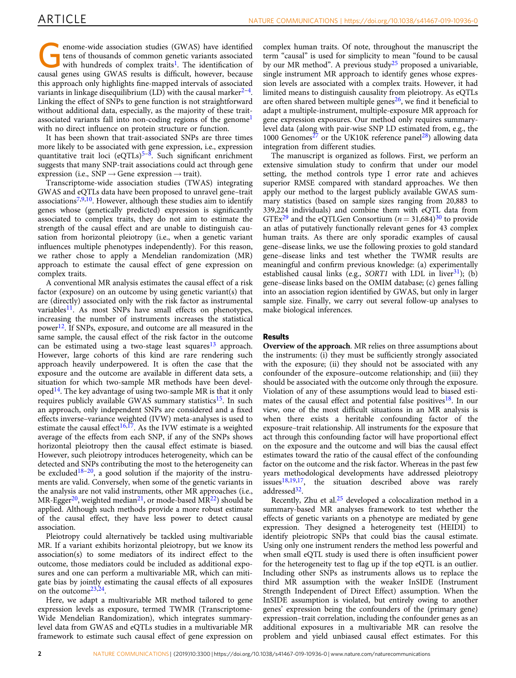enome-wide association studies (GWAS) have identified tens of thousands of common genetic variants associated with hundreds of complex traits<sup>[1](#page-8-0)</sup>. The identification of causal genes using GWAS results is difficult, however, because this approach only highlights fine-mapped intervals of associated variants in linkage disequilibrium (LD) with the causal marker<sup> $2-4$ </sup>. Linking the effect of SNPs to gene function is not straightforward without additional data, especially, as the majority of these trait-associated variants fall into non-coding regions of the genome<sup>[1](#page-8-0)</sup> with no direct influence on protein structure or function.

It has been shown that trait-associated SNPs are three times more likely to be associated with gene expression, i.e., expression quantitative trait loci ( $eQTLs$ )<sup>[5](#page-9-0)–8</sup>. Such significant enrichment suggests that many SNP-trait associations could act through gene expression (i.e.,  $SNP \rightarrow Gen$ e expression  $\rightarrow$  trait).

Transcriptome-wide association studies (TWAS) integrating GWAS and eQTLs data have been proposed to unravel gene–trait associations<sup>7,[9,10](#page-9-0)</sup>. However, although these studies aim to identify genes whose (genetically predicted) expression is significantly associated to complex traits, they do not aim to estimate the strength of the causal effect and are unable to distinguish causation from horizontal pleiotropy (i.e., when a genetic variant influences multiple phenotypes independently). For this reason, we rather chose to apply a Mendelian randomization (MR) approach to estimate the causal effect of gene expression on complex traits.

A conventional MR analysis estimates the causal effect of a risk factor (exposure) on an outcome by using genetic variant(s) that are (directly) associated only with the risk factor as instrumental variables $^{11}$ . As most SNPs have small effects on phenotypes, increasing the number of instruments increases the statistical power<sup>12</sup>. If SNPs, exposure, and outcome are all measured in the same sample, the causal effect of the risk factor in the outcome can be estimated using a two-stage least squares<sup>[13](#page-9-0)</sup> approach. However, large cohorts of this kind are rare rendering such approach heavily underpowered. It is often the case that the exposure and the outcome are available in different data sets, a situation for which two-sample MR methods have been devel- $oped<sup>14</sup>$  $oped<sup>14</sup>$  $oped<sup>14</sup>$ . The key advantage of using two-sample MR is that it only requires publicly available GWAS summary statistics<sup>15</sup>. In such an approach, only independent SNPs are considered and a fixed effects inverse–variance weighted (IVW) meta-analyses is used to estimate the causal effect<sup>[16,17](#page-9-0)</sup>. As the IVW estimate is a weighted average of the effects from each SNP, if any of the SNPs shows horizontal pleiotropy then the causal effect estimate is biased. However, such pleiotropy introduces heterogeneity, which can be detected and SNPs contributing the most to the heterogeneity can be excluded<sup>[18](#page-9-0)-20</sup>, a good solution if the majority of the instruments are valid. Conversely, when some of the genetic variants in the analysis are not valid instruments, other MR approaches (i.e., MR-Egger<sup>20</sup>, weighted median<sup>21</sup>, or mode-based MR<sup>22</sup>) should be applied. Although such methods provide a more robust estimate of the causal effect, they have less power to detect causal association.

Pleiotropy could alternatively be tackled using multivariable MR. If a variant exhibits horizontal pleiotropy, but we know its association(s) to some mediators of its indirect effect to the outcome, those mediators could be included as additional exposures and one can perform a multivariable MR, which can mitigate bias by jointly estimating the causal effects of all exposures on the outcome[23,24.](#page-9-0)

Here, we adapt a multivariable MR method tailored to gene expression levels as exposure, termed TWMR (Transcriptome-Wide Mendelian Randomization), which integrates summarylevel data from GWAS and eQTLs studies in a multivariable MR framework to estimate such causal effect of gene expression on

complex human traits. Of note, throughout the manuscript the term "causal" is used for simplicity to mean "found to be causal by our MR method". A previous study<sup>25</sup> proposed a univariable, single instrument MR approach to identify genes whose expression levels are associated with a complex traits. However, it had limited means to distinguish causality from pleiotropy. As eQTLs are often shared between multiple genes<sup>26</sup>, we find it beneficial to adapt a multiple-instrument, multiple-exposure MR approach for gene expression exposures. Our method only requires summarylevel data (along with pair-wise SNP LD estimated from, e.g., the 1000 Genomes<sup>[27](#page-9-0)</sup> or the UK10K reference panel<sup>[28](#page-9-0)</sup>) allowing data integration from different studies.

The manuscript is organized as follows. First, we perform an extensive simulation study to confirm that under our model setting, the method controls type I error rate and achieves superior RMSE compared with standard approaches. We then apply our method to the largest publicly available GWAS summary statistics (based on sample sizes ranging from 20,883 to 339,224 individuals) and combine them with eQTL data from GTEx<sup>[29](#page-9-0)</sup> and the eQTLGen Consortium  $(n = 31,684)^{30}$  $(n = 31,684)^{30}$  $(n = 31,684)^{30}$  to provide an atlas of putatively functionally relevant genes for 43 complex human traits. As there are only sporadic examples of causal gene–disease links, we use the following proxies to gold standard gene–disease links and test whether the TWMR results are meaningful and confirm previous knowledge: (a) experimentally established causal links  $(e.g., *SORT1* with LDL in liver<sup>31</sup>); (b)$ gene–disease links based on the OMIM database; (c) genes falling into an association region identified by GWAS, but only in larger sample size. Finally, we carry out several follow-up analyses to make biological inferences.

#### Results

Overview of the approach. MR relies on three assumptions about the instruments: (i) they must be sufficiently strongly associated with the exposure; (ii) they should not be associated with any confounder of the exposure–outcome relationship; and (iii) they should be associated with the outcome only through the exposure. Violation of any of these assumptions would lead to biased esti-mates of the causal effect and potential false positives<sup>[18](#page-9-0)</sup>. In our view, one of the most difficult situations in an MR analysis is when there exists a heritable confounding factor of the exposure–trait relationship. All instruments for the exposure that act through this confounding factor will have proportional effect on the exposure and the outcome and will bias the causal effect estimates toward the ratio of the causal effect of the confounding factor on the outcome and the risk factor. Whereas in the past few years methodological developments have addressed pleiotropy  $issues<sup>18,19,17</sup>$  $issues<sup>18,19,17</sup>$  $issues<sup>18,19,17</sup>$ , the situation described above was rarely addressed<sup>[32](#page-9-0)</sup>.

Recently, Zhu et al. $25$  developed a colocalization method in a summary-based MR analyses framework to test whether the effects of genetic variants on a phenotype are mediated by gene expression. They designed a heterogeneity test (HEIDI) to identify pleiotropic SNPs that could bias the causal estimate. Using only one instrument renders the method less powerful and when small eQTL study is used there is often insufficient power for the heterogeneity test to flag up if the top eQTL is an outlier. Including other SNPs as instruments allows us to replace the third MR assumption with the weaker InSIDE (Instrument Strength Independent of Direct Effect) assumption. When the InSIDE assumption is violated, but entirely owing to another genes' expression being the confounders of the (primary gene) expression–trait correlation, including the confounder genes as an additional exposures in a multivariable MR can resolve the problem and yield unbiased causal effect estimates. For this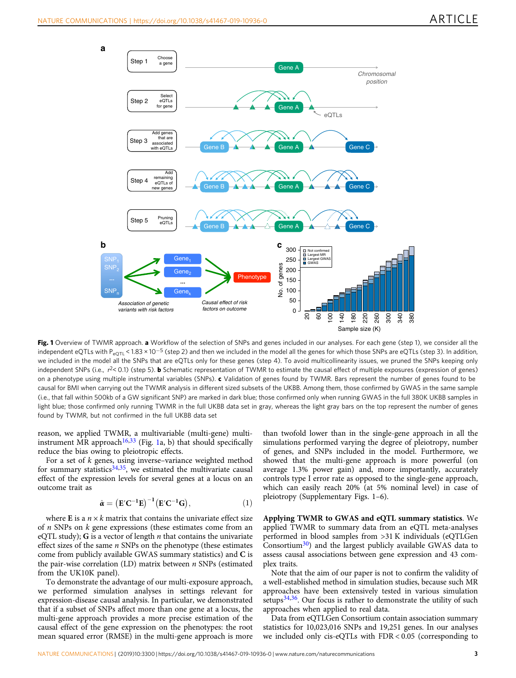<span id="page-2-0"></span>

Fig. 1 Overview of TWMR approach. a Workflow of the selection of SNPs and genes included in our analyses. For each gene (step 1), we consider all the independent eQTLs with P<sub>eQTL</sub> < 1.83 × 10<sup>-5</sup> (step 2) and then we included in the model all the genes for which those SNPs are eQTLs (step 3). In addition, we included in the model all the SNPs that are eQTLs only for these genes (step 4). To avoid multicollinearity issues, we pruned the SNPs keeping only independent SNPs (i.e.,  $r^2$ < 0.1) (step 5). **b** Schematic representation of TWMR to estimate the causal effect of multiple exposures (expression of genes) on a phenotype using multiple instrumental variables (SNPs). c Validation of genes found by TWMR. Bars represent the number of genes found to be causal for BMI when carrying out the TWMR analysis in different sized subsets of the UKBB. Among them, those confirmed by GWAS in the same sample (i.e., that fall within 500kb of a GW significant SNP) are marked in dark blue; those confirmed only when running GWAS in the full 380K UKBB samples in light blue; those confirmed only running TWMR in the full UKBB data set in gray, whereas the light gray bars on the top represent the number of genes found by TWMR, but not confirmed in the full UKBB data set

reason, we applied TWMR, a multivariable (multi-gene) multi-instrument MR approach<sup>[16](#page-9-0),[33](#page-9-0)</sup> (Fig. 1a, b) that should specifically reduce the bias owing to pleiotropic effects.

For a set of k genes, using inverse–variance weighted method for summary statistics<sup>[34](#page-9-0),[35](#page-9-0)</sup>, we estimated the multivariate causal effect of the expression levels for several genes at a locus on an outcome trait as

$$
\hat{\alpha} = \left( \mathbf{E}' \mathbf{C}^{-1} \mathbf{E} \right)^{-1} \left( \mathbf{E}' \mathbf{C}^{-1} \mathbf{G} \right),\tag{1}
$$

where **E** is a  $n \times k$  matrix that contains the univariate effect size of  $n$  SNPs on  $k$  gene expressions (these estimates come from an eQTL study); G is a vector of length  $n$  that contains the univariate effect sizes of the same  $n$  SNPs on the phenotype (these estimates come from publicly available GWAS summary statistics) and C is the pair-wise correlation  $(LD)$  matrix between  $n$  SNPs (estimated from the UK10K panel).

To demonstrate the advantage of our multi-exposure approach, we performed simulation analyses in settings relevant for expression-disease causal analysis. In particular, we demonstrated that if a subset of SNPs affect more than one gene at a locus, the multi-gene approach provides a more precise estimation of the causal effect of the gene expression on the phenotypes: the root mean squared error (RMSE) in the multi-gene approach is more than twofold lower than in the single-gene approach in all the simulations performed varying the degree of pleiotropy, number of genes, and SNPs included in the model. Furthermore, we showed that the multi-gene approach is more powerful (on average 1.3% power gain) and, more importantly, accurately controls type I error rate as opposed to the single-gene approach, which can easily reach 20% (at 5% nominal level) in case of pleiotropy (Supplementary Figs. 1–6).

Applying TWMR to GWAS and eQTL summary statistics. We applied TWMR to summary data from an eQTL meta-analyses performed in blood samples from >31 K individuals (eQTLGen Consortium[30](#page-9-0)) and the largest publicly available GWAS data to assess causal associations between gene expression and 43 complex traits.

Note that the aim of our paper is not to confirm the validity of a well-established method in simulation studies, because such MR approaches have been extensively tested in various simulation setups $34,36$ . Our focus is rather to demonstrate the utility of such approaches when applied to real data.

Data from eQTLGen Consortium contain association summary statistics for 10,023,016 SNPs and 19,251 genes. In our analyses we included only cis-eQTLs with FDR < 0.05 (corresponding to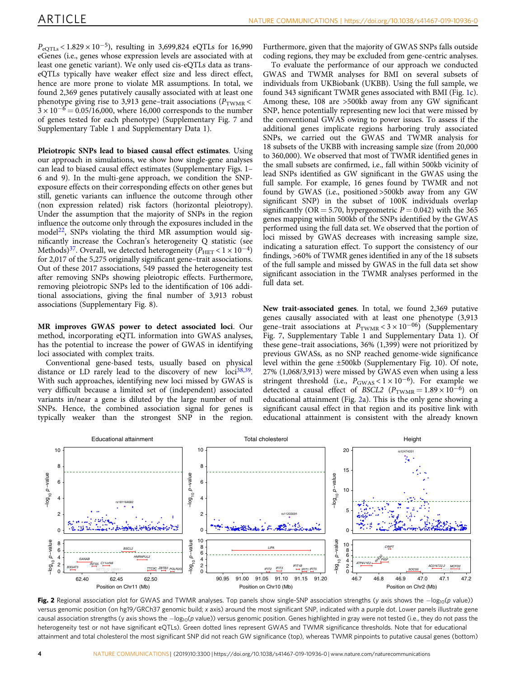<span id="page-3-0"></span> $P_{\text{eOTLs}}$  < 1.829 × 10<sup>-5</sup>), resulting in 3,699,824 eQTLs for 16,990 eGenes (i.e., genes whose expression levels are associated with at least one genetic variant). We only used cis-eQTLs data as transeQTLs typically have weaker effect size and less direct effect, hence are more prone to violate MR assumptions. In total, we found 2,369 genes putatively causally associated with at least one phenotype giving rise to 3,913 gene–trait associations ( $P_{\text{TWMR}}$  <  $3 \times 10^{-6} = 0.05/16,000$ , where 16,000 corresponds to the number of genes tested for each phenotype) (Supplementary Fig. 7 and Supplementary Table 1 and Supplementary Data 1).

Pleiotropic SNPs lead to biased causal effect estimates. Using our approach in simulations, we show how single-gene analyses can lead to biased causal effect estimates (Supplementary Figs. 1– 6 and 9). In the multi-gene approach, we condition the SNPexposure effects on their corresponding effects on other genes but still, genetic variants can influence the outcome through other (non expression related) risk factors (horizontal pleiotropy). Under the assumption that the majority of SNPs in the region influence the outcome only through the exposures included in the model<sup>22</sup>, SNPs violating the third MR assumption would significantly increase the Cochran's heterogeneity Q statistic (see Methods)<sup>[37](#page-9-0)</sup>. Overall, we detected heterogeneity ( $P_{\text{HET}}$  <  $1 \times 10^{-4}$ ) for 2,017 of the 5,275 originally significant gene–trait associations. Out of these 2017 associations, 549 passed the heterogeneity test after removing SNPs showing pleiotropic effects. Furthermore, removing pleiotropic SNPs led to the identification of 106 additional associations, giving the final number of 3,913 robust associations (Supplementary Fig. 8).

MR improves GWAS power to detect associated loci. Our method, incorporating eQTL information into GWAS analyses, has the potential to increase the power of GWAS in identifying loci associated with complex traits.

Conventional gene-based tests, usually based on physical distance or LD rarely lead to the discovery of new  $loci^{38,39}$ . With such approaches, identifying new loci missed by GWAS is very difficult because a limited set of (independent) associated variants in/near a gene is diluted by the large number of null SNPs. Hence, the combined association signal for genes is typically weaker than the strongest SNP in the region.

Furthermore, given that the majority of GWAS SNPs falls outside coding regions, they may be excluded from gene-centric analyses.

To evaluate the performance of our approach we conducted GWAS and TWMR analyses for BMI on several subsets of individuals from UKBiobank (UKBB). Using the full sample, we found 343 significant TWMR genes associated with BMI (Fig. [1](#page-2-0)c). Among these, 108 are >500kb away from any GW significant SNP, hence potentially representing new loci that were missed by the conventional GWAS owing to power issues. To assess if the additional genes implicate regions harboring truly associated SNPs, we carried out the GWAS and TWMR analysis for 18 subsets of the UKBB with increasing sample size (from 20,000 to 360,000). We observed that most of TWMR identified genes in the small subsets are confirmed, i.e., fall within 500kb vicinity of lead SNPs identified as GW significant in the GWAS using the full sample. For example, 16 genes found by TWMR and not found by GWAS (i.e., positioned >500kb away from any GW significant SNP) in the subset of 100K individuals overlap significantly (OR = 5.70, hypergeometric  $P = 0.042$ ) with the 365 genes mapping within 500kb of the SNPs identified by the GWAS performed using the full data set. We observed that the portion of loci missed by GWAS decreases with increasing sample size, indicating a saturation effect. To support the consistency of our findings, >60% of TWMR genes identified in any of the 18 subsets of the full sample and missed by GWAS in the full data set show significant association in the TWMR analyses performed in the full data set.

New trait-associated genes. In total, we found 2,369 putative genes causally associated with at least one phenotype (3,913 gene–trait associations at  $P_{\text{TWMR}}$  < 3 × 10<sup>-06</sup>) (Supplementary Fig. 7, Supplementary Table 1 and Supplementary Data 1). Of these gene–trait associations, 36% (1,399) were not prioritized by previous GWASs, as no SNP reached genome-wide significance level within the gene ±500kb (Supplementary Fig. 10). Of note, 27% (1,068/3,913) were missed by GWAS even when using a less stringent threshold (i.e.,  $P_{\text{GWAS}} < 1 \times 10^{-6}$ ). For example we detected a causal effect of BSCL2 ( $P_{\text{TWMR}} = 1.89 \times 10^{-6}$ ) on educational attainment (Fig. 2a). This is the only gene showing a significant causal effect in that region and its positive link with educational attainment is consistent with the already known



Fig. 2 Regional association plot for GWAS and TWMR analyses. Top panels show single-SNP association strengths (y axis shows the −log<sub>10</sub>(p value)) versus genomic position (on hg19/GRCh37 genomic build; x axis) around the most significant SNP, indicated with a purple dot. Lower panels illustrate gene causal association strengths (y axis shows the −log<sub>10</sub>(p value)) versus genomic position. Genes highlighted in gray were not tested (i.e., they do not pass the heterogeneity test or not have significant eQTLs). Green dotted lines represent GWAS and TWMR significance thresholds. Note that for educational attainment and total cholesterol the most significant SNP did not reach GW significance (top), whereas TWMR pinpoints to putative causal genes (bottom)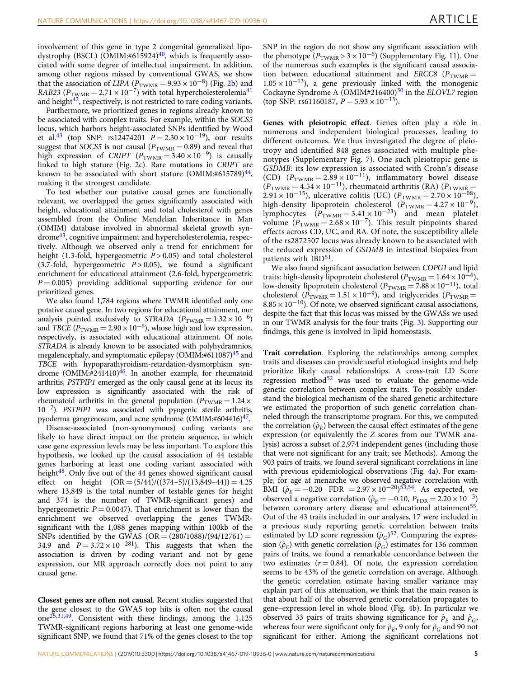involvement of this gene in type 2 congenital generalized lipo-dystrophy (BSCL) (OMIM:#615924)<sup>[40](#page-9-0)</sup>, which is frequently associated with some degree of intellectual impairment. In addition, among other regions missed by conventional GWAS, we show that the association of LIPA ( $P_{\text{TWMR}} = 9.93 \times 10^{-8}$ ) (Fig. [2b](#page-3-0)) and RAB23 ( $P_{\text{TWMR}} = 2.71 \times 10^{-7}$ ) with total hypercholesterolemia<sup>41</sup> and height $42$ , respectively, is not restricted to rare coding variants.

Furthermore, we prioritized genes in regions already known to be associated with complex traits. For example, within the SOCS5 locus, which harbors height-associated SNPs identified by Wood et al.<sup>[43](#page-9-0)</sup> (top SNP: rs12474201  $P = 2.30 \times 10^{-19}$ ), our results suggest that SOCS5 is not causal ( $P_{\text{TWMR}} = 0.89$ ) and reveal that high expression of CRIPT ( $P_{\text{TWMR}} = 3.40 \times 10^{-9}$ ) is causally linked to high stature (Fig. [2](#page-3-0)c). Rare mutations in CRIPT are known to be associated with short stature  $(OMIM:#615789)^{44}$ , making it the strongest candidate.

To test whether our putative causal genes are functionally relevant, we overlapped the genes significantly associated with height, educational attainment and total cholesterol with genes assembled from the Online Mendelian Inheritance in Man (OMIM) database involved in abnormal skeletal growth syndrome<sup>43</sup>, cognitive impairment and hypercholesterolemia, respectively. Although we observed only a trend for enrichment for height (1.3-fold, hypergeometric  $P > 0.05$ ) and total cholesterol  $(3.7-fold, hypergeometric P > 0.05)$ , we found a significant enrichment for educational attainment (2.6-fold, hypergeometric  $P = 0.005$ ) providing additional supporting evidence for our prioritized genes.

We also found 1,784 regions where TWMR identified only one putative causal gene. In two regions for educational attainment, our analysis pointed exclusively to STRADA ( $P_{\text{TWMR}} = 1.32 \times 10^{-6}$ ) and TBCE ( $P_{\text{TWMR}} = 2.90 \times 10^{-6}$ ), whose high and low expression, respectively, is associated with educational attainment. Of note, STRADA is already known to be associated with polyhydramnios, megalencephaly, and symptomatic epilepsy  $(OMIM:#611087)^{45}$  and TBCE with hypoparathyroidism-retardation-dysmorphism syndrome (OMIM:#241410)<sup>46</sup>. In another example, for rheumatoid arthritis, PSTPIP1 emerged as the only causal gene at its locus: its low expression is significantly associated with the risk of rheumatoid arthritis in the general population ( $P_{\text{TWMR}} = 1.24 \times$  $10^{-7}$ ). PSTPIP1 was associated with pyogenic sterile arthritis, pyoderma gangrenosum, and acne syndrome  $(OMIM:#604416)^{47}$ .

Disease-associated (non-synonymous) coding variants are likely to have direct impact on the protein sequence, in which case gene expression levels may be less important. To explore this hypothesis, we looked up the causal association of 44 testable genes harboring at least one coding variant associated with height<sup>48</sup>. Only five out of the 44 genes showed significant causal effect on height  $(OR = (5/44)/((374-5)/(13,849-44)) = 4.25$ where 13,849 is the total number of testable genes for height and 374 is the number of TWMR-significant genes) and hypergeometric  $P = 0.0047$ ). That enrichment is lower than the enrichment we observed overlapping the genes TWMRsignificant with the 1,088 genes mapping within 100kb of the SNPs identified by the GWAS  $(OR = (280/1088)/(94/12761) =$ 34.9 and  $P = 3.72 \times 10^{-281}$ ). This suggests that when the association is driven by coding variant and not by gene expression, our MR approach correctly does not point to any causal gene.

Closest genes are often not causal. Recent studies suggested that the gene closest to the GWAS top hits is often not the causal one<sup>25,31,49</sup>. Consistent with these findings, among the 1,125 TWMR-significant regions harboring at least one genome-wide significant SNP, we found that 71% of the genes closest to the top SNP in the region do not show any significant association with the phenotype ( $P_{\text{TWMR}} > 3 \times 10^{-6}$ ) (Supplementary Fig. 11). One of the numerous such examples is the significant causal association between educational attainment and ERCC8 ( $P_{\text{TWMR}} =$  $1.05 \times 10^{-13}$ ), a gene previously linked with the monogenic Cockayne Syndrome A  $\overline{(OMIM#216400)^{50}}$  in the ELOVL7 region (top SNP: rs61160187,  $P = 5.93 \times 10^{-13}$ ).

Genes with pleiotropic effect. Genes often play a role in numerous and independent biological processes, leading to different outcomes. We thus investigated the degree of pleiotropy and identified 848 genes associated with multiple phenotypes (Supplementary Fig. 7). One such pleiotropic gene is GSDMB: its low expression is associated with Crohn's disease (CD)  $(P_{\text{TWMR}} = 2.89 \times 10^{-11})$ , inflammatory bowel disease  $(P_{\text{TWMR}} = 4.54 \times 10^{-11})$ , rheumatoid arthritis (RA) ( $P_{\text{TWMR}} =$  $2.91 \times 10^{-15}$ ), ulcerative colitis (UC)  $(P_{\text{TWMR}} = 2.70 \times 10^{-08})$ , high-density lipoprotein cholesterol  $(P_{\text{TWMR}} = 4.27 \times 10^{-9})$ , lymphocytes  $(P_{\text{TWMR}} = 3.41 \times 10^{-23})$  and mean platelet volume  $(P_{\text{TWMR}} = 2.68 \times 10^{-7})$ . This result pinpoints shared effects across CD, UC, and RA. Of note, the susceptibility allele of the rs2872507 locus was already known to be associated with the reduced expression of GSDMB in intestinal biopsies from patients with IBD<sup>[51](#page-9-0)</sup>.

We also found significant association between COPG1 and lipid traits: high-density lipoprotein cholesterol ( $P_{\text{TWMR}} = 1.64 \times 10^{-6}$ ), low-density lipoprotein cholesterol ( $P_{\text{TWMR}} = 7.88 \times 10^{-11}$ ), total cholesterol ( $\overline{P_{\text{TWMR}}}$  = 1.51 × 10<sup>-9</sup>), and triglycerides ( $P_{\text{TWMR}}$  =  $8.85 \times 10^{-10}$ ). Of note, we observed significant causal associations, despite the fact that this locus was missed by the GWASs we used in our TWMR analysis for the four traits (Fig. [3](#page-5-0)). Supporting our findings, this gene is involved in lipid homeostasis.

Trait correlation. Exploring the relationships among complex traits and diseases can provide useful etiological insights and help prioritize likely causal relationships. A cross-trait LD Score regression method $52$  was used to evaluate the genome-wide genetic correlation between complex traits. To possibly understand the biological mechanism of the shared genetic architecture we estimated the proportion of such genetic correlation channeled through the transcriptome program. For this, we computed the correlation ( $\hat{\rho}_E$ ) between the causal effect estimates of the gene expression (or equivalently the Z scores from our TWMR analysis) across a subset of 2,974 independent genes (including those that were not significant for any trait; see Methods). Among the 903 pairs of traits, we found several significant correlations in line with previous epidemiological observations (Fig. [4a](#page-6-0)). For example, for age at menarche we observed negative correlation with BMI ( $\hat{\rho}_E = -0.20$  FDR = 2.97 × 10<sup>-20</sup>)<sup>[53](#page-9-0),[54](#page-9-0)</sup>. As expected, we observed a negative correlation ( $\hat{\rho}_E = -0.10$ ,  $P_{\text{FDR}} = 2.20 \times 10^{-5}$ ) between coronary artery disease and educational attainment<sup>55</sup>. Out of the 43 traits included in our analyses, 17 were included in a previous study reporting genetic correlation between traits estimated by LD score regression ( $\hat{\rho}_G$ )<sup>52</sup>. Comparing the expression ( $\hat{\rho}_E$ ) with genetic correlation ( $\hat{\rho}_G$ ) estimates for 136 common pairs of traits, we found a remarkable concordance between the two estimates  $(r = 0.84)$ . Of note, the expression correlation seems to be 43% of the genetic correlation on average. Although the genetic correlation estimate having smaller variance may explain part of this attenuation, we think that the main reason is that about half of the observed genetic correlation propagates to gene–expression level in whole blood (Fig. [4](#page-6-0)b). In particular we observed 33 pairs of traits showing significance for  $\rho_E$  and  $\rho_G$ , whereas four were significant only for  $\rho_E$ , 9 only for  $\rho_G$  and 90 not significant for either. Among the significant correlations not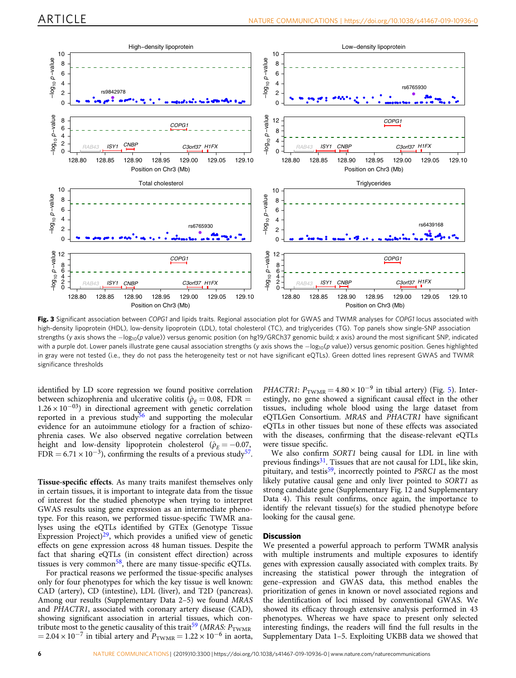<span id="page-5-0"></span>

Fig. 3 Significant association between COPG1 and lipids traits. Regional association plot for GWAS and TWMR analyses for COPG1 locus associated with high-density lipoprotein (HDL), low-density lipoprotein (LDL), total cholesterol (TC), and triglycerides (TG). Top panels show single-SNP association strengths (y axis shows the −log<sub>10</sub>(p value)) versus genomic position (on hg19/GRCh37 genomic build; x axis) around the most significant SNP, indicated with a purple dot. Lower panels illustrate gene causal association strengths (y axis shows the  $-\log_{10}(p$  value)) versus genomic position. Genes highlighted in gray were not tested (i.e., they do not pass the heterogeneity test or not have significant eQTLs). Green dotted lines represent GWAS and TWMR significance thresholds

identified by LD score regression we found positive correlation between schizophrenia and ulcerative colitis ( $\rho_E$  = 0.08, FDR =  $1.26 \times 10^{-03}$ ) in directional agreement with genetic correlation reported in a previous study<sup>[56](#page-9-0)</sup> and supporting the molecular evidence for an autoimmune etiology for a fraction of schizophrenia cases. We also observed negative correlation between height and low-density lipoprotein cholesterol ( $\hat{\rho}_E = -0.07$ , FDR =  $6.71 \times 10^{-3}$ ), confirming the results of a previous study<sup>57</sup>.

Tissue-specific effects. As many traits manifest themselves only in certain tissues, it is important to integrate data from the tissue of interest for the studied phenotype when trying to interpret GWAS results using gene expression as an intermediate phenotype. For this reason, we performed tissue-specific TWMR analyses using the eQTLs identified by GTEx (Genotype Tissue Expression Project) $^{29}$ , which provides a unified view of genetic effects on gene expression across 48 human tissues. Despite the fact that sharing eQTLs (in consistent effect direction) across tissues is very common<sup>58</sup>, there are many tissue-specific eQTLs.

For practical reasons we performed the tissue-specific analyses only for four phenotypes for which the key tissue is well known: CAD (artery), CD (intestine), LDL (liver), and T2D (pancreas). Among our results (Supplementary Data 2–5) we found MRAS and PHACTR1, associated with coronary artery disease (CAD), showing significant association in arterial tissues, which con-tribute most to the genetic causality of this trait<sup>[59](#page-9-0)</sup> (MRAS:  $P_{\text{TWMR}}$ )  $= 2.04 \times 10^{-7}$  in tibial artery and  $P_{\text{TWMR}} = 1.22 \times 10^{-6}$  in aorta,

PHACTR1:  $P_{\text{TWMR}} = 4.80 \times 10^{-9}$  in tibial artery) (Fig. [5](#page-6-0)). Interestingly, no gene showed a significant causal effect in the other tissues, including whole blood using the large dataset from eQTLGen Consortium. MRAS and PHACTR1 have significant eQTLs in other tissues but none of these effects was associated with the diseases, confirming that the disease-relevant eQTLs were tissue specific.

We also confirm SORT1 being causal for LDL in line with previous findings $31$ . Tissues that are not causal for LDL, like skin, pituitary, and testis<sup>[59](#page-9-0)</sup>, incorrectly pointed to  $PSRC1$  as the most likely putative causal gene and only liver pointed to SORT1 as strong candidate gene (Supplementary Fig. 12 and Supplementary Data 4). This result confirms, once again, the importance to identify the relevant tissue(s) for the studied phenotype before looking for the causal gene.

#### **Discussion**

We presented a powerful approach to perform TWMR analysis with multiple instruments and multiple exposures to identify genes with expression causally associated with complex traits. By increasing the statistical power through the integration of gene–expression and GWAS data, this method enables the prioritization of genes in known or novel associated regions and the identification of loci missed by conventional GWAS. We showed its efficacy through extensive analysis performed in 43 phenotypes. Whereas we have space to present only selected interesting findings, the readers will find the full results in the Supplementary Data 1–5. Exploiting UKBB data we showed that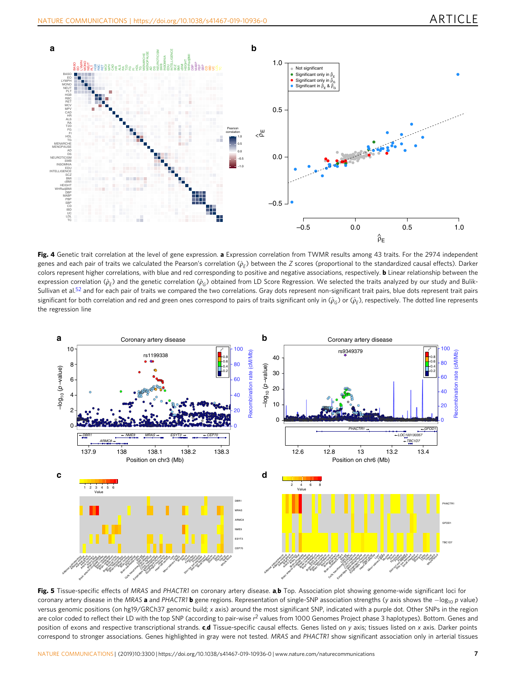<span id="page-6-0"></span>

Fig. 4 Genetic trait correlation at the level of gene expression. a Expression correlation from TWMR results among 43 traits. For the 2974 independent genes and each pair of traits we calculated the Pearson's correlation ( $\hat{\rho}_F$ ) between the Z scores (proportional to the standardized causal effects). Darker colors represent higher correlations, with blue and red corresponding to positive and negative associations, respectively. **b** Linear relationship between the expression correlation ( $\hat{\rho}_F$ ) and the genetic correlation ( $\hat{\rho}_G$ ) obtained from LD Score Regression. We selected the traits analyzed by our study and Bulik-Sullivan et al.<sup>52</sup> and for each pair of traits we compared the two correlations. Gray dots represent non-significant trait pairs, blue dots represent trait pairs significant for both correlation and red and green ones correspond to pairs of traits significant only in  $(\hat{\rho}_G)$  or  $(\hat{\rho}_F)$ , respectively. The dotted line represents the regression line



Fig. 5 Tissue-specific effects of MRAS and PHACTR1 on coronary artery disease. a,b Top. Association plot showing genome-wide significant loci for coronary artery disease in the MRAS a and PHACTR1 b gene regions. Representation of single-SNP association strengths (y axis shows the −log<sub>10</sub> p value) versus genomic positions (on hg19/GRCh37 genomic build; x axis) around the most significant SNP, indicated with a purple dot. Other SNPs in the region are color coded to reflect their LD with the top SNP (according to pair-wise r<sup>2</sup> values from 1000 Genomes Project phase 3 haplotypes). Bottom. Genes and position of exons and respective transcriptional strands. c,d Tissue-specific causal effects. Genes listed on y axis; tissues listed on x axis. Darker points correspond to stronger associations. Genes highlighted in gray were not tested. MRAS and PHACTR1 show significant association only in arterial tissues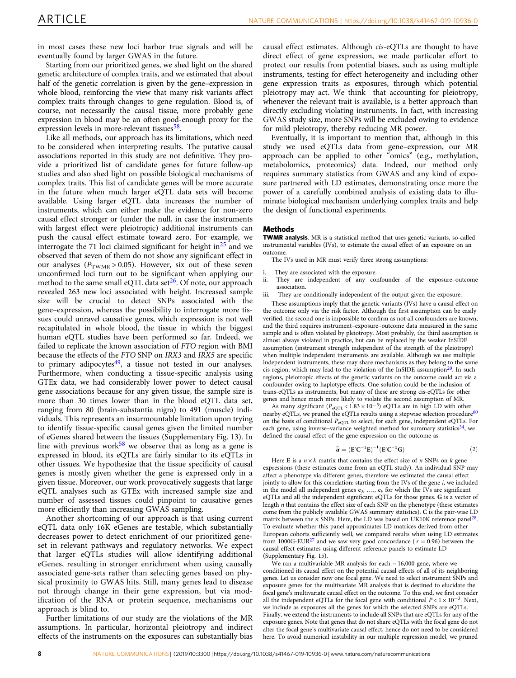in most cases these new loci harbor true signals and will be eventually found by larger GWAS in the future.

Starting from our prioritized genes, we shed light on the shared genetic architecture of complex traits, and we estimated that about half of the genetic correlation is given by the gene–expression in whole blood, reinforcing the view that many risk variants affect complex traits through changes to gene regulation. Blood is, of course, not necessarily the causal tissue, more probably gene expression in blood may be an often good-enough proxy for the expression levels in more-relevant tissues<sup>[58](#page-9-0)</sup>.

Like all methods, our approach has its limitations, which need to be considered when interpreting results. The putative causal associations reported in this study are not definitive. They provide a prioritized list of candidate genes for future follow-up studies and also shed light on possible biological mechanisms of complex traits. This list of candidate genes will be more accurate in the future when much larger eQTL data sets will become available. Using larger eQTL data increases the number of instruments, which can either make the evidence for non-zero causal effect stronger or (under the null, in case the instruments with largest effect were pleiotropic) additional instruments can push the causal effect estimate toward zero. For example, we interrogate the 71 loci claimed significant for height in $25$  and we observed that seven of them do not show any significant effect in our analyses ( $P_{\text{TWMR}} > 0.05$ ). However, six out of these seven unconfirmed loci turn out to be significant when applying our method to the same small eQTL data set<sup>26</sup>. Of note, our approach revealed 263 new loci associated with height. Increased sample size will be crucial to detect SNPs associated with the gene–expression, whereas the possibility to interrogate more tissues could unravel causative genes, which expression is not well recapitulated in whole blood, the tissue in which the biggest human eQTL studies have been performed so far. Indeed, we failed to replicate the known association of FTO region with BMI because the effects of the FTO SNP on IRX3 and IRX5 are specific to primary adipocytes $49$ , a tissue not tested in our analyses. Furthermore, when conducting a tissue-specific analysis using GTEx data, we had considerably lower power to detect causal gene associations because for any given tissue, the sample size is more than 30 times lower than in the blood eQTL data set, ranging from 80 (brain-substantia nigra) to 491 (muscle) individuals. This represents an insurmountable limitation upon trying to identify tissue-specific causal genes given the limited number of eGenes shared between the tissues (Supplementary Fig. 13). In line with previous work<sup>[58](#page-9-0)</sup> we observe that as long as a gene is expressed in blood, its eQTLs are fairly similar to its eQTLs in other tissues. We hypothesize that the tissue specificity of causal genes is mostly given whether the gene is expressed only in a given tissue. Moreover, our work provocatively suggests that large eQTL analyses such as GTEx with increased sample size and number of assessed tissues could pinpoint to causative genes more efficiently than increasing GWAS sampling.

Another shortcoming of our approach is that using current eQTL data only 16K eGenes are testable, which substantially decreases power to detect enrichment of our prioritized geneset in relevant pathways and regulatory networks. We expect that larger eQTLs studies will allow identifying additional eGenes, resulting in stronger enrichment when using causally associated gene-sets rather than selecting genes based on physical proximity to GWAS hits. Still, many genes lead to disease not through change in their gene expression, but via modification of the RNA or protein sequence, mechanisms our approach is blind to.

Further limitations of our study are the violations of the MR assumptions. In particular, horizontal pleiotropy and indirect effects of the instruments on the exposures can substantially bias causal effect estimates. Although cis-eQTLs are thought to have direct effect of gene expression, we made particular effort to protect our results from potential biases, such as using multiple instruments, testing for effect heterogeneity and including other gene expression traits as exposures, through which potential pleiotropy may act. We think that accounting for pleiotropy, whenever the relevant trait is available, is a better approach than directly excluding violating instruments. In fact, with increasing GWAS study size, more SNPs will be excluded owing to evidence for mild pleiotropy, thereby reducing MR power.

Eventually, it is important to mention that, although in this study we used eQTLs data from gene–expression, our MR approach can be applied to other "omics" (e.g., methylation, metabolomics, proteomics) data. Indeed, our method only requires summary statistics from GWAS and any kind of exposure partnered with LD estimates, demonstrating once more the power of a carefully combined analysis of existing data to illuminate biological mechanism underlying complex traits and help the design of functional experiments.

#### Methods

TWMR analysis. MR is a statistical method that uses genetic variants, so-called instrumental variables (IVs), to estimate the causal effect of an exposure on an outcome.

The IVs used in MR must verify three strong assumptions:

- They are associated with the exposure.
- ii. They are independent of any confounder of the exposure–outcome association.
- iii. They are conditionally independent of the output given the exposure.

These assumptions imply that the genetic variants (IVs) have a causal effect on the outcome only via the risk factor. Although the first assumption can be easily verified, the second one is impossible to confirm as not all confounders are known, and the third requires instrument–exposure–outcome data measured in the same sample and is often violated by pleiotropy. Most probably, the third assumption is almost always violated in practice, but can be replaced by the weaker InSIDE assumption (instrument strength independent of the strength of the pleiotropy) when multiple independent instruments are available. Although we use multiple independent instruments, these may share mechanisms as they belong to the same cis region, which may lead to the violation of the InSIDE assumption $20$ . In such regions, pleiotropic effects of the genetic variants on the outcome could act via a confounder owing to haplotype effects. One solution could be the inclusion of trans-eQTLs as instruments, but many of these are strong cis-eQTLs for other genes and hence much more likely to violate the second assumption of MR.

As many significant ( $P_{\text{eOTL}}$  < 1.83 × 10<sup>-5</sup>) eQTLs are in high LD with other nearby eQTLs, we pruned the eQTLs results using a stepwise selection procedure<sup>[60](#page-9-0)</sup> on the basis of conditional  $P_{\text{eQTL}}$  to select, for each gene, independent eQTLs. For each gene, using inverse-variance weighted method for summary statistics $34$ , we defined the causal effect of the gene expression on the outcome as

$$
\widehat{\boldsymbol{\alpha}} = \left(\mathbf{E}'\mathbf{C}^{-1}\mathbf{E}\right)^{-1}\left(\mathbf{E}'\mathbf{C}^{-1}\mathbf{G}\right) \tag{2}
$$

Here E is a  $n \times k$  matrix that contains the effect size of n SNPs on k gene expressions (these estimates come from an eQTL study). An individual SNP may affect a phenotype via different genes, therefore we estimated the causal effect jointly to allow for this correlation: starting from the IVs of the gene i, we included in the model all independent genes  $e_2$ , ...,  $e_k$  for which the IVs are significant eQTLs and all the independent significant eQTLs for those genes. G is a vector of length n that contains the effect size of each SNP on the phenotype (these estimates come from the publicly available GWAS summary statistics). C is the pair-wise LD matrix between the *n* SNPs. Here, the LD was based on UK10K reference panel<sup>28</sup>. To evaluate whether this panel approximates LD matrices derived from other European cohorts sufficiently well, we compared results when using LD estimates from 1000G-EUR<sup>[27](#page-9-0)</sup> and we saw very good concordance ( $r = 0.96$ ) between the causal effect estimates using different reference panels to estimate LD (Supplementary Fig. 15).

We ran a multivariable MR analysis for each  $\sim$  16,000 gene, where we conditioned its causal effect on the potential causal effects of all of its neighboring genes. Let us consider now one focal gene. We need to select instrument SNPs and exposure genes for the multivariate MR analysis that is destined to elucidate the focal gene's multivariate causal effect on the outcome. To this end, we first consider all the independent eQTLs for the focal gene with conditional  $P < 1 \times 10^{-3}$ . Next, we include as exposures all the genes for which the selected SNPs are eQTLs. Finally, we extend the instruments to include all SNPs that are eQTLs for any of the exposure genes. Note that genes that do not share eQTLs with the focal gene do not alter the focal gene's multivariate causal effect, hence do not need to be considered here. To avoid numerical instability in our multiple regression model, we pruned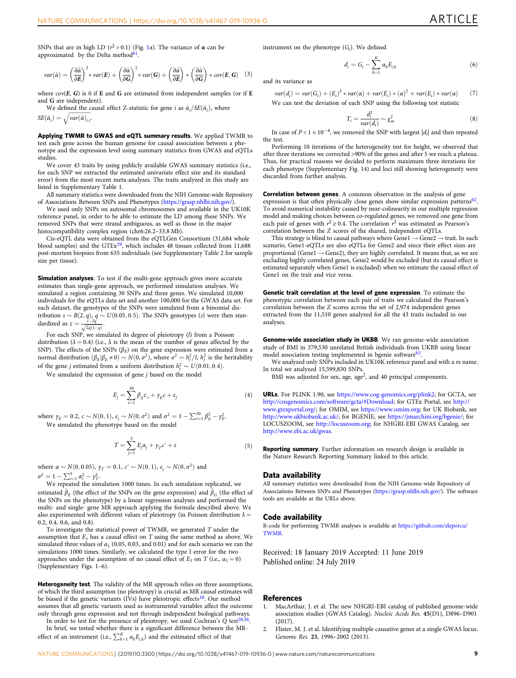<span id="page-8-0"></span>SNPs that are in high LD ( $r^2 > 0.1$ ) (Fig. [1a](#page-2-0)). The variance of  $\alpha$  can be approximated by the Delta method<sup>61</sup>.

$$
var(\hat{\alpha}) = \left(\frac{\partial \hat{\alpha}}{\partial E}\right)^2 * var(E) + \left(\frac{\partial \hat{\alpha}}{\partial G}\right)^2 * var(G) + \left(\frac{\partial \hat{\alpha}}{\partial E}\right) * \left(\frac{\partial \hat{\alpha}}{\partial G}\right) * cov(E, G) \quad (3)
$$

where  $cov(E, G)$  is 0 if E and G are estimated from independent samples (or if E and G are independent).

We defined the causal effect Z-statistic for gene i as  $\hat{\alpha}_i/SE(\hat{\alpha}_i)$ , where

$$
SE(\hat{\alpha}_i) = \sqrt{var(\hat{\alpha})_{i,i}}.
$$

Applying TWMR to GWAS and eQTL summary results. We applied TWMR to test each gene across the human genome for causal association between a phenotype and the expression level using summary statistics from GWAS and eQTLs studies.

We cover 43 traits by using publicly available GWAS summary statistics (i.e., for each SNP we extracted the estimated univariate effect size and its standard error) from the most recent meta-analyses. The traits analyzed in this study are listed in Supplementary Table 1.

All summary statistics were downloaded from the NIH Genome-wide Repository of Associations Between SNPs and Phenotypes ([https://grasp.nhlbi.nih.gov/\)](https://grasp.nhlbi.nih.gov/).

We used only SNPs on autosomal chromosomes and available in the UK10K reference panel, in order to be able to estimate the LD among these SNPs. We removed SNPs that were strand ambiguous, as well as those in the major histocompatibility complex region (chr6:26.2–33.8 Mb).

Cis-eQTL data were obtained from the eQTLGen Consortium (31,684 whole blood samples) and the  $GTEx^{29}$ , which includes 48 tissues collected from 11,688 post-mortem biopsies from 635 individuals (see Supplementary Table 2 for sample size per tissue).

Simulation analyses. To test if the multi-gene approach gives more accurate estimates than single-gene approach, we performed simulation analyses. We simulated a region containing 30 SNPs and three genes. We simulated 10,000 individuals for the eQTLs data set and another 100,000 for the GWAS data set. For each dataset, the genotypes of the SNPs were simulated from a binomial distribution  $s \sim B(2, q)$ ,  $q \sim U(0.05, 0.5)$ . The SNPs genotypes (s) were then standardized as  $z = \frac{s-2q}{\sqrt{2q(1-q)}}$ .

For each SNP, we simulated its degree of pleiotropy (l) from a Poisson distribution ( $\lambda = 0.4$ ) (i.e.,  $\lambda$  is the mean of the number of genes affected by the SNP). The effects of the SNPs ( $\beta_E$ ) on the gene expression were estimated from a normal distribution  $(\beta_E | \beta_E \neq 0) \sim N(0, \sigma^2)$ , where  $\sigma^2 = h_j^2/l$ ,  $h_j^2$  is the heritability of the gene j estimated from a uniform distribution  $h_j^2 \sim U(0.01, 0.4)$ .

We simulated the expression of gene  $j$  based on the model

$$
E_{j} = \sum_{i=1}^{30} \beta_{ij} z_{i} + \gamma_{E} c + \varepsilon_{j}
$$
 (4)

where  $\gamma_E = 0.2$ ,  $c \sim N(0, 1)$ ,  $\varepsilon_j \sim N(0, \sigma^2)$  and  $\sigma^2 = 1 - \sum_{i=1}^{30} \beta_{ij}^2 - \gamma_E^2$ .

We simulated the phenotype based on the model

$$
T = \sum_{j=1}^{3} E_j \alpha_j + \gamma_T c' + \varepsilon \tag{5}
$$

where  $\alpha \sim N(0, 0.05)$ ,  $\gamma_T = 0.1$ ,  $c' \sim N(0, 1)$ ,  $\varepsilon_j \sim N(0, \sigma^2)$  and

 $\sigma^2 = 1 - \sum_{i=1}^{3} \alpha_i^2 - \gamma_T^2$ .<br>We repeated the simulation 1000 times. In each simulation replicated, we estimated  $\hat{\beta}_E$  (the effect of the SNPs on the gene expression) and  $\hat{\beta}_G$  (the effect of the SNPs on the phenotype) by a linear regression analyses and performed the multi- and single- gene MR approach applying the formula described above. We also experimented with different values of pleiotropy (in Poisson distribution  $\lambda =$ 0.2, 0.4, 0.6, and 0.8).

To investigate the statistical power of TWMR, we generated T under the assumption that  $E_1$  has a causal effect on T using the same method as above. We simulated three values of  $\alpha_1$  (0.05, 0.03, and 0.01) and for each scenario we ran the simulations 1000 times. Similarly, we calculated the type I error for the two approaches under the assumption of no causal effect of  $E_1$  on T (i.e.,  $\alpha_1 = 0$ ) (Supplementary Figs. 1–6).

Heterogeneity test. The validity of the MR approach relies on three assumptions, of which the third assumption (no pleiotropy) is crucial as MR causal estimates will be biased if the genetic variants (IVs) have pleiotropic effects<sup>18</sup>. Our method assumes that all genetic variants used as instrumental variables affect the outcome only through gene expression and not through independent biological pathways.

In order to test for the presence of pleiotropy, we used Cochran's  $Q$  test<sup>[20](#page-9-0),[36](#page-9-0)</sup>. In brief, we tested whether there is a significant difference between the MReffect of an instrument (i.e.,  $\sum_{k=1}^{K} \alpha_k E_{i,k}$ ) and the estimated effect of that

instrument on the phenotype  $(G_i)$ . We defined

$$
d_i = G_i - \sum_{k=1}^{K} \alpha_k E_{i,k} \tag{6}
$$

and its variance as

 $var(d_i) = var(G_i) + (E_i)^2 * var(\alpha) + var(E_i) * (\alpha)^2 + var(E_i) * var(\alpha)$  (7) We can test the deviation of each SNP using the following test statistic

$$
T_i = \frac{d_i^2}{var(d_i)} \sim \chi_m^2 \tag{8}
$$

In case of  $P < 1 \times 10^{-4}$ , we removed the SNP with largest  $|d_i|$  and then repeated the test.

Performing 10 iterations of the heterogeneity test for height, we observed that after three iterations we corrected >90% of the genes and after 5 we reach a plateau. Thus, for practical reasons we decided to perform maximum three iterations for each phenotype (Supplementary Fig. 14) and loci still showing heterogeneity were discarded from further analysis.

Correlation between genes. A common observation in the analysis of gene expression is that often physically close genes show similar expression patterns<sup>[62](#page-9-0)</sup>. To avoid numerical instability caused by near-colinearity in our multiple regression model and making choices between co-regulated genes, we removed one gene from each pair of genes with  $r^2 \ge 0.4$ . The correlation  $r^2$  was estimated as Pearson's correlation between the Z scores of the shared, independent eQTLs.

This strategy is blind to causal pathways where  $\text{Genel} \rightarrow \text{Genel} \rightarrow \text{train}$ . In such scenario, Gene1-eQTLs are also eQTLs for Gene2 and since their effect sizes are proportional (Gene1  $\rightarrow$  Gene2), they are highly correlated. It means that, as we are excluding highly correlated genes, Gene2 would be excluded (but its causal effect is estimated separately when Gene1 is excluded) when we estimate the causal effect of Gene1 on the trait and vice versa.

Genetic trait correlation at the level of gene expression. To estimate the phenotypic correlation between each pair of traits we calculated the Pearson's correlation between the Z scores across the set of 2,974 independent genes extracted from the 11,510 genes analyzed for all the 43 traits included in our analyses.

Genome-wide association study in UKBB. We ran genome-wide association study of BMI in 379,530 unrelated British individuals from UKBB using linear model association testing implemented in bgenie software<sup>[63](#page-9-0)</sup>.

We analyzed only SNPs included in UK10K reference panel and with a rs name. In total we analyzed 15,599,830 SNPs.

BMI was adjusted for sex, age, age<sup>2</sup>, and 40 principal components.

URLs. For PLINK 1.90, see [https://www.cog-genomics.org/plink2;](https://www.cog-genomics.org/plink2) for GCTA, see <http://cnsgenomics.com/software/gcta/#Download>; for GTEx Portal, see [http://](http://www.gtexportal.org/) [www.gtexportal.org/](http://www.gtexportal.org/); for OMIM, see <https://www.omim.org>; for UK Biobank, see [http://www.ukbiobank.ac.uk/;](http://www.ukbiobank.ac.uk/) for BGENIE, see [https://jmarchini.org/bgenie/;](https://jmarchini.org/bgenie/) for LOCUSZOOM, see <http://locuszoom.org>; for NHGRI-EBI GWAS Catalog, see <http://www.ebi.ac.uk/gwas>.

Reporting summary. Further information on research design is available in the Nature Research Reporting Summary linked to this article.

#### Data availability

All summary statistics were downloaded from the NIH Genome-wide Repository of Associations Between SNPs and Phenotypes [\(https://grasp.nhlbi.nih.gov/\)](https://grasp.nhlbi.nih.gov/). The software tools are available at the URLs above.

#### Code availability

R-code for performing TWMR analyses is available at [https://github.com/eleporcu/](https://github.com/eleporcu/TWMR) [TWMR](https://github.com/eleporcu/TWMR).

Received: 18 January 2019 Accepted: 11 June 2019 Published online: 24 July 2019

#### **References**

- 1. MacArthur, J. et al. The new NHGRI-EBI catalog of published genome-wide association studies (GWAS Catalog). Nucleic Acids Res. 45(D1), D896–D901 (2017).
- 2. Flister, M. J. et al. Identifying multiple causative genes at a single GWAS locus. Genome Res. 23, 1996–2002 (2013).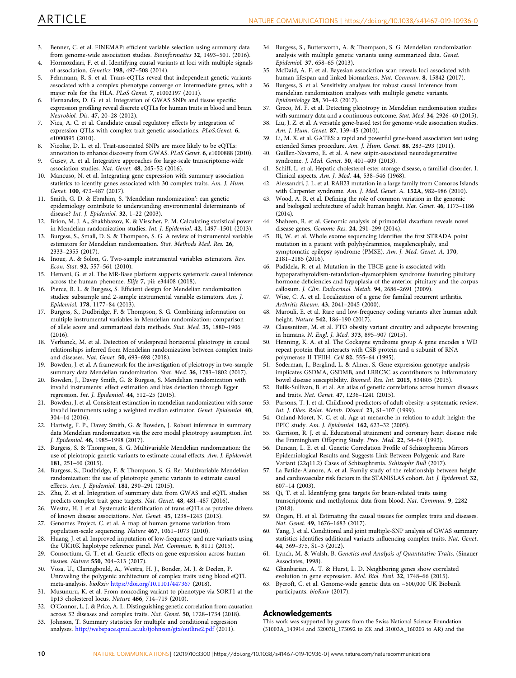- <span id="page-9-0"></span>3. Benner, C. et al. FINEMAP: efficient variable selection using summary data from genome-wide association studies. Bioinformatics 32, 1493–501. (2016).
- 4. Hormozdiari, F. et al. Identifying causal variants at loci with multiple signals of association. Genetics 198, 497–508 (2014).
- 5. Fehrmann, R. S. et al. Trans-eQTLs reveal that independent genetic variants associated with a complex phenotype converge on intermediate genes, with a major role for the HLA. PLoS Genet. 7, e1002197 (2011).
- 6. Hernandez, D. G. et al. Integration of GWAS SNPs and tissue specific expression profiling reveal discrete eQTLs for human traits in blood and brain. Neurobiol. Dis. 47, 20–28 (2012).
- 7. Nica, A. C. et al. Candidate causal regulatory effects by integration of expression QTLs with complex trait genetic associations. PLoS.Genet. 6, e1000895 (2010).
- 8. Nicolae, D. L. et al. Trait-associated SNPs are more likely to be eQTLs: annotation to enhance discovery from GWAS. PLoS Genet. 6, e1000888 (2010).
- 9. Gusev, A. et al. Integrative approaches for large-scale transcriptome-wide association studies. Nat. Genet. 48, 245–52 (2016).
- 10. Mancuso, N. et al. Integrating gene expression with summary association statistics to identify genes associated with 30 complex traits. Am. J. Hum. Genet. 100, 473–487 (2017).
- 11. Smith, G. D. & Ebrahim, S. 'Mendelian randomization': can genetic epidemiology contribute to understanding environmental determinants of disease? Int. J. Epidemiol. 32, 1–22 (2003).
- 12. Brion, M. J. A., Shakhbazov, K. & Visscher, P. M. Calculating statistical power in Mendelian randomization studies. Int. J. Epidemiol. 42, 1497–1501 (2013).
- 13. Burgess, S., Small, D. S. & Thompson, S. G. A review of instrumental variable estimators for Mendelian randomization. Stat. Methods Med. Res. 26, 2333–2355 (2017).
- 14. Inoue, A. & Solon, G. Two-sample instrumental variables estimators. Rev. Econ. Stat. 92, 557–561 (2010).
- 15. Hemani, G. et al. The MR-Base platform supports systematic causal inference across the human phenome. Elife 7, pii: e34408 (2018).
- 16. Pierce, B. L. & Burgess, S. Efficient design for Mendelian randomization studies: subsample and 2-sample instrumental variable estimators. Am. J. Epidemiol. 178, 1177–84 (2013).
- 17. Burgess, S., Dudbridge, F. & Thompson, S. G. Combining information on multiple instrumental variables in Mendelian randomization: comparison of allele score and summarized data methods. Stat. Med. 35, 1880–1906 (2016).
- 18. Verbanck, M. et al. Detection of widespread horizontal pleiotropy in causal relationships inferred from Mendelian randomization between complex traits and diseases. Nat. Genet. 50, 693–698 (2018).
- 19. Bowden, J. et al. A framework for the investigation of pleiotropy in two-sample summary data Mendelian randomization. Stat. Med. 36, 1783–1802 (2017).
- 20. Bowden, J., Davey Smith, G. & Burgess, S. Mendelian randomization with invalid instruments: effect estimation and bias detection through Egger regression. Int. J. Epidemiol. 44, 512–25 (2015).
- 21. Bowden, J. et al. Consistent estimation in mendelian randomization with some invalid instruments using a weighted median estimator. Genet. Epidemiol. 40, 304–14 (2016).
- 22. Hartwig, F. P., Davey Smith, G. & Bowden, J. Robust inference in summary data Mendelian randomization via the zero modal pleiotropy assumption. Int. J. Epidemiol. 46, 1985–1998 (2017).
- 23. Burgess, S. & Thompson, S. G. Multivariable Mendelian randomization: the use of pleiotropic genetic variants to estimate causal effects. Am. J. Epidemiol. 181, 251–60 (2015).
- 24. Burgess, S., Dudbridge, F. & Thompson, S. G. Re: Multivariable Mendelian randomization: the use of pleiotropic genetic variants to estimate causal effects. Am. J. Epidemiol. 181, 290–291 (2015).
- 25. Zhu, Z. et al. Integration of summary data from GWAS and eQTL studies predicts complex trait gene targets. Nat. Genet. 48, 481-487 (2016).
- 26. Westra, H. J. et al. Systematic identification of trans eQTLs as putative drivers of known disease associations. Nat. Genet. 45, 1238–1243 (2013).
- 27. Genomes Project, C. et al. A map of human genome variation from population-scale sequencing. Nature 467, 1061-1073 (2010).
- 28. Huang, J. et al. Improved imputation of low-frequency and rare variants using the UK10K haplotype reference panel. Nat. Commun. 6, 8111 (2015).
- 29. Consortium, G. T. et al. Genetic effects on gene expression across human tissues. Nature 550, 204–213 (2017).
- 30. Vosa, U., Claringbould, A., Westra, H. J., Bonder, M. J. & Deelen, P. Unraveling the polygenic architecture of complex traits using blood eQTL meta-analysis. bioRxiv <https://doi.org/10.1101/447367> (2018).
- 31. Musunuru, K. et al. From noncoding variant to phenotype via SORT1 at the 1p13 cholesterol locus. Nature 466, 714–719 (2010).
- 32. O'Connor, L. J. & Price, A. L. Distinguishing genetic correlation from causation across 52 diseases and complex traits. Nat. Genet. 50, 1728–1734 (2018).
- 33. Johnson, T. Summary statistics for multiple and conditional regression analyses. <http://webspace.qmul.ac.uk/tjohnson/gtx/outline2.pdf> (2011).
- 34. Burgess, S., Butterworth, A. & Thompson, S. G. Mendelian randomization analysis with multiple genetic variants using summarized data. Genet. Epidemiol. 37, 658–65 (2013).
- 35. McDaid, A. F. et al. Bayesian association scan reveals loci associated with human lifespan and linked biomarkers. Nat. Commun. 8, 15842 (2017).
- 36. Burgess, S. et al. Sensitivity analyses for robust causal inference from mendelian randomization analyses with multiple genetic variants. Epidemiology 28, 30–42 (2017).
- 37. Greco, M. F. et al. Detecting pleiotropy in Mendelian randomisation studies with summary data and a continuous outcome. *Stat. Med.* 34, 2926–40 (2015).
- 38. Liu, J. Z. et al. A versatile gene-based test for genome-wide association studies. Am. J. Hum. Genet. 87, 139–45 (2010).
- 39. Li, M. X. et al. GATES: a rapid and powerful gene-based association test using extended Simes procedure. Am. J. Hum. Genet. 88, 283–293 (2011).
- 40. Guillen-Navarro, E. et al. A new seipin-associated neurodegenerative syndrome. J. Med. Genet. 50, 401–409 (2013).
- 41. Schiff, L. et al. Hepatic cholesterol ester storage disease, a familial disorder. I. Clinical aspects. Am. J. Med. 44, 538–546 (1968).
- 42. Alessandri, J. L. et al. RAB23 mutation in a large family from Comoros Islands with Carpenter syndrome. Am. J. Med. Genet. A. 152A, 982–986 (2010).
- 43. Wood, A. R. et al. Defining the role of common variation in the genomic and biological architecture of adult human height. Nat. Genet. 46, 1173–1186 (2014).
- 44. Shaheen, R. et al. Genomic analysis of primordial dwarfism reveals novel disease genes. Genome Res. 24, 291–299 (2014).
- 45. Bi, W. et al. Whole exome sequencing identifies the first STRADA point mutation in a patient with polyhydramnios, megalencephaly, and symptomatic epilepsy syndrome (PMSE). Am. J. Med. Genet. A. 170, 2181–2185 (2016).
- 46. Padidela, R. et al. Mutation in the TBCE gene is associated with hypoparathyroidism-retardation-dysmorphism syndrome featuring pituitary hormone deficiencies and hypoplasia of the anterior pituitary and the corpus callosum. J. Clin. Endocrinol. Metab. 94, 2686–2691 (2009).
- 47. Wise, C. A. et al. Localization of a gene for familial recurrent arthritis. Arthritis Rheum. 43, 2041–2045 (2000).
- 48. Marouli, E. et al. Rare and low-frequency coding variants alter human adult height. Nature 542, 186–190 (2017).
- 49. Claussnitzer, M. et al. FTO obesity variant circuitry and adipocyte browning in humans. N. Engl. J. Med. 373, 895–907 (2015).
- 50. Henning, K. A. et al. The Cockayne syndrome group A gene encodes a WD repeat protein that interacts with CSB protein and a subunit of RNA polymerase II TFIIH. Cell 82, 555–64 (1995).
- Soderman, J., Berglind, L. & Almer, S. Gene expression-genotype analysis implicates GSDMA, GSDMB, and LRRC3C as contributors to inflammatory bowel disease susceptibility. Biomed. Res. Int. 2015, 834805 (2015).
- 52. Bulik-Sullivan, B. et al. An atlas of genetic correlations across human diseases and traits. Nat. Genet. 47, 1236–1241 (2015).
- 53. Parsons, T. J. et al. Childhood predictors of adult obesity: a systematic review. Int. J. Obes. Relat. Metab. Disord. 23, S1–107 (1999).
- 54. Onland-Moret, N. C. et al. Age at menarche in relation to adult height: the EPIC study. Am. J. Epidemiol. 162, 623–32 (2005).
- 55. Garrison, R. J. et al. Educational attainment and coronary heart disease risk: the Framingham Offspring Study. Prev. Med. 22, 54–64 (1993).
- 56. Duncan, L. E. et al. Genetic Correlation Profile of Schizophrenia Mirrors Epidemiological Results and Suggests Link Between Polygenic and Rare Variant (22q11.2) Cases of Schizophrenia. Schizophr Bull (2017).
- 57. La Batide-Alanore, A. et al. Family study of the relationship between height and cardiovascular risk factors in the STANISLAS cohort. Int. J. Epidemiol. 32, 607–14 (2003).
- 58. Qi, T. et al. Identifying gene targets for brain-related traits using transcriptomic and methylomic data from blood. Nat. Commun. 9, 2282 (2018).
- 59. Ongen, H. et al. Estimating the causal tissues for complex traits and diseases. Nat. Genet. 49, 1676–1683 (2017).
- 60. Yang, J. et al. Conditional and joint multiple-SNP analysis of GWAS summary statistics identifies additional variants influencing complex traits. Nat. Genet. 44, 369–375, S1–3 (2012).
- 61. Lynch, M. & Walsh, B. Genetics and Analysis of Quantitative Traits. (Sinauer Associates, 1998).
- 62. Ghanbarian, A. T. & Hurst, L. D. Neighboring genes show correlated evolution in gene expression. Mol. Biol. Evol. 32, 1748–66 (2015).
- 63. Bycroft, C. et al. Genome-wide genetic data on ~500,000 UK Biobank participants. bioRxiv (2017).

#### Acknowledgements

This work was supported by grants from the Swiss National Science Foundation (31003A\_143914 and 32003B\_173092 to ZK and 31003A\_160203 to AR) and the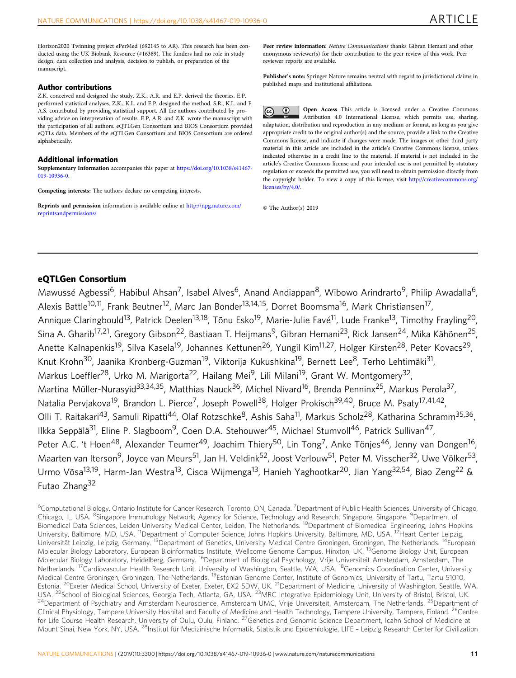Horizon2020 Twinning project ePerMed (692145 to AR). This research has been conducted using the UK Biobank Resource (#16389). The funders had no role in study design, data collection and analysis, decision to publish, or preparation of the manuscript.

#### Author contributions

Z.K. conceived and designed the study. Z.K., A.R. and E.P. derived the theories. E.P. performed statistical analyses. Z.K., K.L. and E.P. designed the method. S.R., K.L. and F. A.S. contributed by providing statistical support. All the authors contributed by providing advice on interpretation of results. E.P, A.R. and Z.K. wrote the manuscript with the participation of all authors. eQTLGen Consortium and BIOS Consortium provided eQTLs data. Members of the eQTLGen Consortium and BIOS Consortium are ordered alphabetically.

### Additional information

Supplementary Information accompanies this paper at [https://doi.org/10.1038/s41467-](https://doi.org/10.1038/s41467-019-10936-0) [019-10936-0.](https://doi.org/10.1038/s41467-019-10936-0)

Competing interests: The authors declare no competing interests.

Reprints and permission information is available online at [http://npg.nature.com/](http://npg.nature.com/reprintsandpermissions/) [reprintsandpermissions/](http://npg.nature.com/reprintsandpermissions/)

Peer review information: Nature Communications thanks Gibran Hemani and other anonymous reviewer(s) for their contribution to the peer review of this work. Peer reviewer reports are available.

Publisher's note: Springer Nature remains neutral with regard to jurisdictional claims in published maps and institutional affiliations.

Open Access This article is licensed under a Creative Commons  $\left( \mathrm{cc} \right)$  $(r)$ Attribution 4.0 International License, which permits use, sharing, adaptation, distribution and reproduction in any medium or format, as long as you give appropriate credit to the original author(s) and the source, provide a link to the Creative Commons license, and indicate if changes were made. The images or other third party material in this article are included in the article's Creative Commons license, unless indicated otherwise in a credit line to the material. If material is not included in the article's Creative Commons license and your intended use is not permitted by statutory regulation or exceeds the permitted use, you will need to obtain permission directly from the copyright holder. To view a copy of this license, visit [http://creativecommons.org/](http://creativecommons.org/licenses/by/4.0/) [licenses/by/4.0/](http://creativecommons.org/licenses/by/4.0/).

© The Author(s) 2019

## eQTLGen Consortium

Mawussé Agbessi<sup>6</sup>, Habibul Ahsan<sup>7</sup>, Isabel Alves<sup>6</sup>, Anand Andiappan<sup>8</sup>, Wibowo Arindrarto<sup>9</sup>, Philip Awadalla<sup>6</sup>, Alexis Battle<sup>10,11</sup>, Frank Beutner<sup>12</sup>, Marc Jan Bonder<sup>13,14,15</sup>, Dorret Boomsma<sup>16</sup>, Mark Christiansen<sup>17</sup>, Annique Claringbould<sup>13</sup>, Patrick Deelen<sup>13,18</sup>, Tõnu Esko<sup>19</sup>, Marie-Julie Favé<sup>11</sup>, Lude Franke<sup>13</sup>, Timothy Frayling<sup>20</sup>, Sina A. Gharib<sup>17,21</sup>, Gregory Gibson<sup>22</sup>, Bastiaan T. Heijmans<sup>9</sup>, Gibran Hemani<sup>23</sup>, Rick Jansen<sup>24</sup>, Mika Kähönen<sup>25</sup>, Anette Kalnapenkis<sup>19</sup>, Silva Kasela<sup>19</sup>, Johannes Kettunen<sup>26</sup>, Yungil Kim<sup>11,27</sup>, Holger Kirsten<sup>28</sup>, Peter Kovacs<sup>29</sup>, Knut Krohn<sup>30</sup>, Jaanika Kronberg-Guzman<sup>19</sup>, Viktorija Kukushkina<sup>19</sup>, Bernett Lee<sup>8</sup>, Terho Lehtimäki<sup>31</sup>, Markus Loeffler<sup>28</sup>, Urko M. Marigorta<sup>22</sup>, Hailang Mei<sup>9</sup>, Lili Milani<sup>19</sup>, Grant W. Montgomery<sup>32</sup>, Martina Müller-Nurasyid<sup>33,34,35</sup>, Matthias Nauck<sup>36</sup>, Michel Nivard<sup>16</sup>, Brenda Penninx<sup>25</sup>, Markus Perola<sup>37</sup>, Natalia Pervjakova<sup>19</sup>, Brandon L. Pierce<sup>7</sup>, Joseph Powell<sup>38</sup>, Holger Prokisch<sup>39,40</sup>, Bruce M. Psaty<sup>17,41,42</sup>, Olli T. Raitakari<sup>43</sup>, Samuli Ripatti<sup>44</sup>, Olaf Rotzschke<sup>8</sup>, Ashis Saha<sup>11</sup>, Markus Scholz<sup>28</sup>, Katharina Schramm<sup>35,36</sup>, Ilkka Seppälä<sup>31</sup>, Eline P. Slagboom<sup>9</sup>, Coen D.A. Stehouwer<sup>45</sup>, Michael Stumvoll<sup>46</sup>, Patrick Sullivan<sup>47</sup>, Peter A.C. 't Hoen<sup>48</sup>, Alexander Teumer<sup>49</sup>, Joachim Thiery<sup>50</sup>, Lin Tong<sup>7</sup>, Anke Tönjes<sup>46</sup>, Jenny van Dongen<sup>16</sup>, Maarten van Iterson<sup>9</sup>, Joyce van Meurs<sup>51</sup>, Jan H. Veldink<sup>52</sup>, Joost Verlouw<sup>51</sup>, Peter M. Visscher<sup>32</sup>, Uwe Völker<sup>53</sup>, Urmo Võsa<sup>13,19</sup>, Harm-Jan Westra<sup>13</sup>, Cisca Wijmenga<sup>13</sup>, Hanieh Yaghootkar<sup>20</sup>, Jian Yang<sup>32,54</sup>, Biao Zeng<sup>22</sup> & Futao Zhang<sup>32</sup>

<sup>6</sup>Computational Biology, Ontario Institute for Cancer Research, Toronto, ON, Canada. <sup>7</sup>Department of Public Health Sciences, University of Chicago, Chicago, IL, USA. <sup>8</sup>Singapore Immunology Network, Agency for Science, Technology and Research, Singapore, Singapore. <sup>9</sup>Department of Biomedical Data Sciences, Leiden University Medical Center, Leiden, The Netherlands. <sup>10</sup>Department of Biomedical Engineering, Johns Hopkins University, Baltimore, MD, USA. <sup>11</sup>Department of Computer Science, Johns Hopkins University, Baltimore, MD, USA. <sup>12</sup>Heart Center Leipzig, Universität Leipzig, Leipzig, Germany. <sup>13</sup>Department of Genetics, University Medical Centre Groningen, Groningen, The Netherlands. <sup>14</sup>European Molecular Biology Laboratory, European Bioinformatics Institute, Wellcome Genome Campus, Hinxton, UK. 15Genome Biology Unit, European Molecular Biology Laboratory, Heidelberg, Germany. 16Department of Biological Psychology, Vrije Universiteit Amsterdam, Amsterdam, The Netherlands. <sup>17</sup>Cardiovascular Health Research Unit, University of Washington, Seattle, WA, USA. <sup>18</sup>Genomics Coordination Center, University Medical Centre Groningen, Groningen, The Netherlands. <sup>19</sup>Estonian Genome Center, Institute of Genomics, University of Tartu, Tartu 51010, Estonia. <sup>20</sup>Exeter Medical School, University of Exeter, Exeter, EX2 5DW, UK. <sup>21</sup>Department of Medicine, University of Washington, Seattle, WA,<br>USA. <sup>22</sup>School of Biological Sciences, Georgia Tech, Atlanta, GA, USA. <sup>23</sup> <sup>24</sup> Department of Psychiatry and Amsterdam Neuroscience, Amsterdam UMC, Vrije Universiteit, Amsterdam, The Netherlands. <sup>25</sup> Department of Clinical Physiology, Tampere University Hospital and Faculty of Medicine and Health Technology, Tampere University, Tampere, Finland. <sup>26</sup>Centre for Life Course Health Research, University of Oulu, Oulu, Finland. <sup>27</sup>Genetics and Genomic Science Department, Icahn School of Medicine at Mount Sinai, New York, NY, USA. <sup>28</sup>Institut für Medizinische Informatik, Statistik und Epidemiologie, LIFE - Leipzig Research Center for Civilization